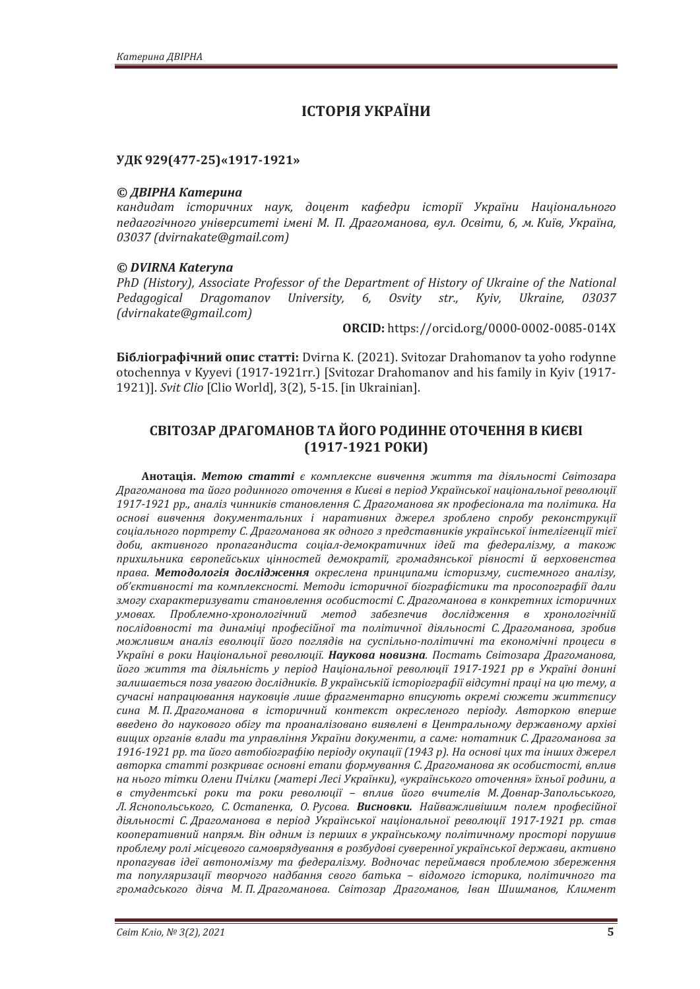# **ІСТОРІЯ УКРАЇНИ**

### УДК 929(477-25)«1917-1921»

### © ДВІРНА Катерина

кандидат iсторичних наук. доиент кафедри iсторiї України Наиіонального педагогічного університеті імені М. П. Драгоманова, вул. Освіти, 6, м. Київ, Україна, *03037 (dvirnakate@gmail.com)* 

## *© DVIRNA Kateryna*

PhD (History), Associate Professor of the Department of History of Ukraine of the National Pedagogical Dragomanov University, 6, Osvity str., Kyiv, Ukraine, 03037 *ȋ̻Ǥ)*

**ORCID:** https://orcid.org/0000-0002-0085-014X

**Бібліографічний опис статті:** Dvirna K. (2021). Svitozar Drahomanov ta yoho rodynne otochennya v Kyyevi (1917-1921rr.) [Svitozar Drahomanov and his family in Kyiv (1917- 1921)]. Svit Clio [Clio World], 3(2), 5-15. [in Ukrainian].

## СВІТОЗАР ДРАГОМАНОВ ТА ЙОГО РОДИННЕ ОТОЧЕННЯ В КИЄВІ  $(1917-1921)$  POKKI)

**Анотація. Метою статті** є комплексне вивчення життя та діяльності Світозара *ʓ˓˃ˆˑˏ˃ːˑ˅˃˕˃ˌˑˆˑ˓ˑˇˋːːˑˆˑˑ˕ˑ˚ˈːːˢ˅ʙˋ˦˅˪˅˒ˈ˓˪ˑˇʢˍ˓˃˫ː˔˟ˍˑ˫ː˃˙˪ˑː˃ˎ˟ːˑ˫˓ˈ˅ˑˎˡ˙˪˫* 1917-1921 рр., аналіз чинників становлення С. Драгоманова як професіонала та політика. На основі вивчення документальних *і наративних джерел зроблено спробу реконструкції* соціального портрету С. Драгоманова як одного з представників української інтелігенції тієї доби, активного пропагандиста соціал-демократичних ідей та федералізму, а також прихильника європейських цінностей демократії, громадянської рівності й верховенства права. Методологія дослідження окреслена принципами історизму, системного аналізу, *ˑ˄ǯ˦ˍ˕ˋ˅ːˑ˔˕˪ ˕˃ ˍˑˏ˒ˎˈˍ˔ːˑ˔˕˪Ǥ ʛˈ˕ˑˇˋ ˪˔˕ˑ˓ˋ˚ːˑ˫ ˄˪ˑˆ˓˃˗˪˔˕ˋˍˋ ˕˃ ˒˓ˑ˔ˑ˒ˑˆ˓˃˗˪˫ ˇ˃ˎˋ* змогу схарактеризувати становлення особистості С. Драгоманова в конкретних історичних умовах. Проблемно-хронологічний метод забезпечив дослідження в хронологічній послідовності та динаміці професійної та політичної діяльності С. Драгоманова, зробив  $M$ <sup>*можливим аналіз еволюції його поглядів на суспільно-політичні та економічні процеси в*</sup> Україні в роки Національної революції. Наукова новизна. Постать Світозара Драгоманова, *ˌˑˆˑ ˉˋ˕˕ˢ ˕˃ ˇ˪ˢˎ˟ː˪˔˕˟ ˖ ˒ˈ˓˪ˑˇ ʜ˃˙˪ˑː˃ˎ˟ːˑ˫ ˓ˈ˅ˑˎˡ˙˪˫ ͷͿͷͽ-ͷͿͷ ˓˓ ˅ ʢˍ˓˃˫ː˪ ˇˑːˋː˪* залишається поза увагою дослідників. В українській історіографії відсутні праці на цю тему, а сучасні напрацювання науковців лише фрагментарно вписують окремі сюжети життєпису сина М. П. Драгоманова в історичний контекст окресленого періоду. Авторкою вперше введено до наукового обігу та проаналізовано виявлені в Центральному державному архіві вищих органів влади та управління України документи, а саме: нотатник С. Драгоманова за 1916-1921 рр. та його автобіографію періоду окупації (1943 р). На основі цих та інших джерел *˃˅˕ˑ˓ˍ˃˔˕˃˕˕˪˓ˑˊˍ˓ˋ˅˃˦ˑ˔ːˑ˅ː˪ˈ˕˃˒ˋ˗ˑ˓ˏ˖˅˃ːːˢʠǤʓ˓˃ˆˑˏ˃ːˑ˅˃ˢˍˑ˔ˑ˄ˋ˔˕ˑ˔˕˪ǡ˅˒ˎˋ˅* на нього тітки Олени Пчілки (матері Лесі Українки), «українського оточення» їхньої родини, а *˅ ˔˕˖ˇˈː˕˔˟ˍ˪ ˓ˑˍˋ ˕˃ ˓ˑˍˋ ˓ˈ˅ˑˎˡ˙˪˫ – ˅˒ˎˋ˅ ˌˑˆˑ ˅˚ˋ˕ˈˎ˪˅ ʛǤʓˑ˅ː˃˓-ʖ˃˒ˑˎ˟˔˟ˍˑˆˑǡ* Л. Яснопольського, С. Остапенка, О. Русова. Висновки. Найважливішим полем професійної  $\delta$ ияльності С. Драгоманова в період Української національної революції 1917-1921 рр. став кооперативний напрям. Він одним із перших в українському політичному просторі порушив проблему ролі місцевого самоврядування в розбудові суверенної української держави, активно пропагував *ідеї автономізму та федералізму. Водночас переймався проблемою збереження* та популяризації творчого надбання свого батька - відомого історика, політичного та громадського діяча М. П. Драгоманова. Світозар Драгоманов, Іван Шишманов, Климент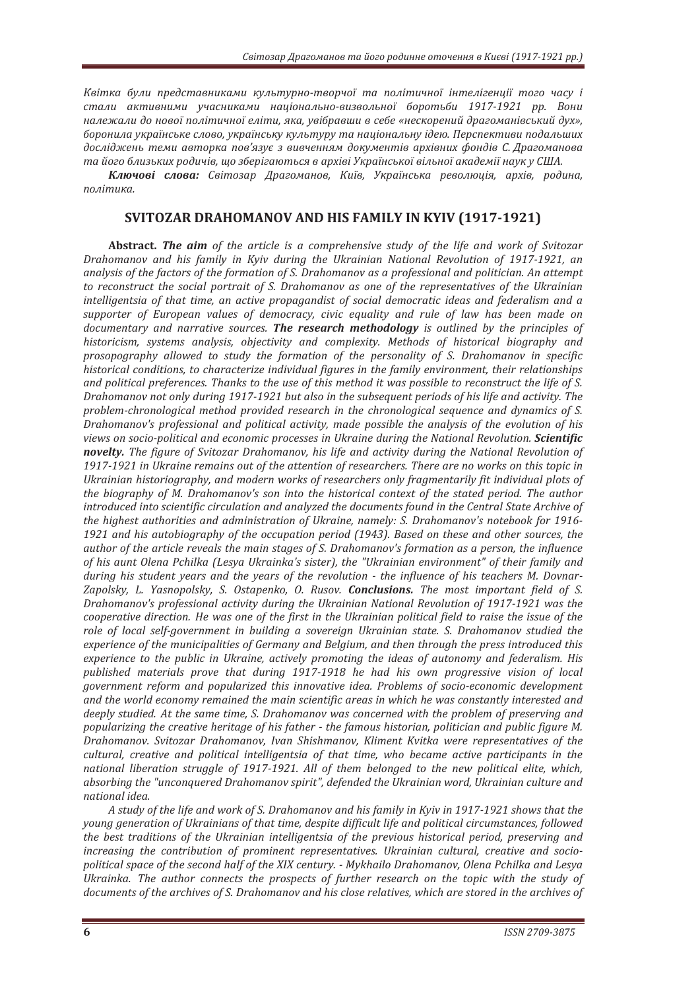Квітка були представниками культурно-творчої та політичної інтелігенції того часу і стали активними учасниками національно-визвольної боротьби 1917-1921 рр. Вони належали до нової політичної еліти, яка, увібравши в себе «нескорений драгоманівський дух», *˄ˑ˓ˑːˋˎ˃˖ˍ˓˃˫ː˔˟ˍˈ˔ˎˑ˅ˑǡ˖ˍ˓˃˫ː˔˟ˍ˖ˍ˖ˎ˟˕˖˓˖˕˃ː˃˙˪ˑː˃ˎ˟ː˖˪ˇˈˡǤʞˈ˓˔˒ˈˍ˕ˋ˅ˋ˒ˑˇ˃ˎ˟˛ˋ˘* досліджень теми авторка пов'язує з вивченням документів архівних фондів С. Драгоманова та його близьких родичів, що зберігаються в архіві Української вільної академії наук у США.

Ключові слова: Світозар Драгоманов, Київ, Українська революція, архів, родина,  $no$ літика.

## **SVITOZAR DRAHOMANOV AND HIS FAMILY IN KYIV (1917-1921)**

**Abstract. The aim** of the article is a comprehensive study of the life and work of Svitozar *Drahomanov and his family in Kyiv during the Ukrainian National Revolution of 1917-1921, an* analysis of the factors of the formation of S. Drahomanov as a professional and politician. An attempt to reconstruct the social portrait of S. Drahomanov as one of the representatives of the Ukrainian intelligentsia of that time, an active propagandist of social democratic ideas and federalism and a supporter of European values of democracy, civic equality and rule of law has been made on *documentary and narrative sources. The research methodology is outlined by the principles of* historicism, systems analysis, objectivity and complexity. Methods of historical biography and *prosopography allowed to study the formation of the personality of S. Drahomanov in specific historical conditions, to characterize individual figures in the family environment, their relationships* and political preferences. Thanks to the use of this method it was possible to reconstruct the life of S. *Drahomanov not only during 1917-1921 but also in the subsequent periods of his life and activity. The* problem-chronological method provided research in the chronological sequence and dynamics of S. Drahomanov's professional and political activity, made possible the analysis of the evolution of his *views on socio-political and economic processes in Ukraine during the National Revolution. Scientific* **novelty.** The figure of Svitozar Drahomanov, his life and activity during the National Revolution of *1917-1921 in Ukraine remains out of the attention of researchers. There are no works on this topic in* Ukrainian historiography, and modern works of researchers only fragmentarily fit individual plots of the biography of M. Drahomanov's son into the historical context of the stated period. The author introduced into scientific circulation and analyzed the documents found in the Central State Archive of *the highest authorities and administration of Ukraine, namely: S. Drahomanov's notebook for 1916-*1921 and his autobiography of the occupation period (1943). Based on these and other sources, the *author of the article reveals the main stages of S. Drahomanov's formation as a person, the influence* of his aunt Olena Pchilka (Lesya Ukrainka's sister), the "Ukrainian environment" of their family and *during his student years and the years of the revolution - the influence of his teachers M. Dovnar-*Zapolsky, L. Yasnopolsky, S. Ostapenko, O. Rusov. **Conclusions.** The most important field of S. *Drahomanov's professional activity during the Ukrainian National Revolution of 1917-1921 was the cooperative direction. He was one of the first in the Ukrainian political field to raise the issue of the role of local self-government in building a sovereign Ukrainian state. S. Drahomanov studied the* experience of the municipalities of Germany and Belgium, and then through the press introduced this *experience to the public in Ukraine, actively promoting the ideas of autonomy and federalism. His published materials prove that during 1917-1918 he had his own progressive vision of local government reform and popularized this innovative idea. Problems of socio-economic development* and the world economy remained the main scientific areas in which he was constantly interested and *deeply studied. At the same time, S. Drahomanov was concerned with the problem of preserving and popularizing the creative heritage of his father - the famous historian, politician and public figure M.* Drahomanov. Svitozar Drahomanov, Ivan Shishmanov, Kliment Kvitka were representatives of the cultural, creative and political intelligentsia of that time, who became active participants in the *national liberation struggle of 1917-1921. All of them belonged to the new political elite, which,* absorbing the "unconquered Drahomanov spirit", defended the Ukrainian word, Ukrainian culture and *national idea*.

*A* study of the life and work of S. Drahomanov and his family in Kyiv in 1917-1921 shows that the *voung generation of Ukrainians of that time, despite difficult life and political circumstances, followed the best traditions of the Ukrainian intelligentsia of the previous historical period, preserving and increasing the contribution of prominent representatives. Ukrainian cultural, creative and sociopolitical space of the second half of the XIX century. - Mykhailo Drahomanov, Olena Pchilka and Lesya* Ukrainka. The author connects the prospects of further research on the topic with the study of documents of the archives of S. Drahomanov and his close relatives, which are stored in the archives of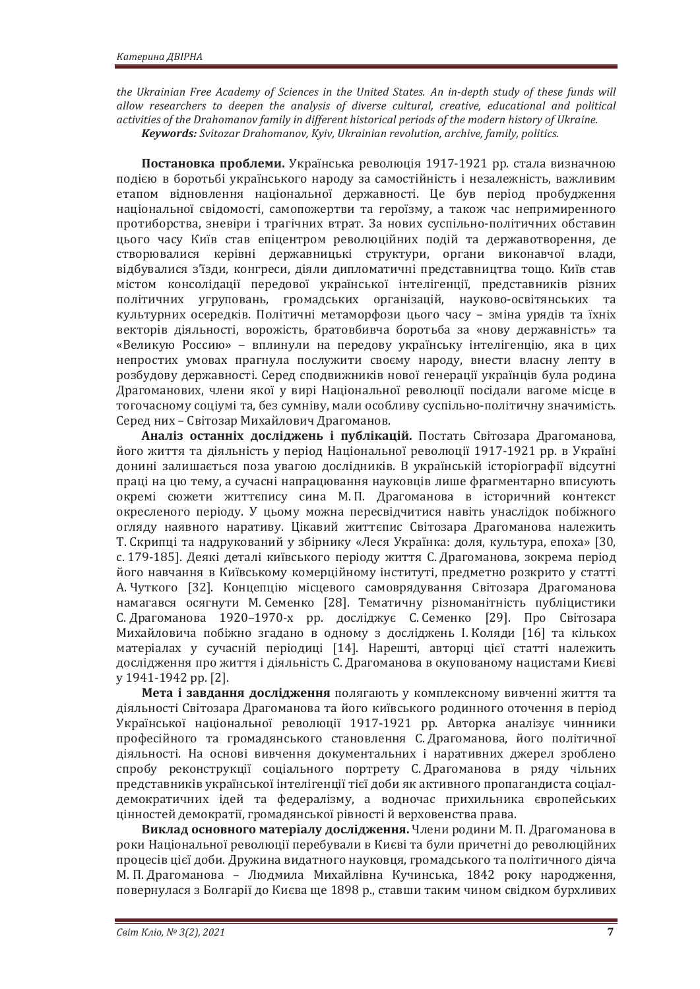the Ukrainian Free Academy of Sciences in the United States. An in-depth study of these funds will allow researchers to deepen the analysis of diverse cultural, creative, educational and political activities of the Drahomanov family in different historical periods of the modern history of Ukraine. *Keywords: Svitozar Drahomanov, Kyiv, Ukrainian revolution, archive, family, politics.* 

Постановка проблеми. Українська революція 1917-1921 рр. стала визначною подією в боротьбі українського народу за самостійність і незалежність, важливим етапом відновлення національної державності. Це був період пробудження національної свідомості, самопожертви та героїзму, а також час непримиренного протиборства, зневіри і трагічних втрат. За нових суспільно-політичних обставин цього часу Київ став епіцентром революційних подій та державотворення, де створювалися керівні державницькі структури, органи виконавчої влади, відбувалися з'їзди, конгреси, діяли дипломатичні представництва тощо. Київ став містом консолідації передової української інтелігенції, представників різних політичних угруповань, громадських організацій, науково-освітянських та культурних осередків. Політичні метаморфози цього часу - зміна урядів та їхніх векторів діяльності, ворожість, братовбивча боротьба за «нову державність» та «Великую Россию» - вплинули на передову українську інтелігенцію, яка в цих непростих умовах прагнула послужити своєму народу, внести власну лепту в розбудову державності. Серед сподвижників нової генерації українців була родина Драгоманових, члени якої у вирі Національної революції посідали вагоме місце в тогочасному соціумі та, без сумніву, мали особливу суспільно-політичну значимість, Серед них – Світозар Михайлович Драгоманов.

Аналіз останніх досліджень і публікацій. Постать Світозара Драгоманова, його життя та діяльність у період Національної революції 1917-1921 рр. в Україні донині залишається поза увагою дослідників. В українській історіографії відсутні праці на цю тему, а сучасні напрацювання науковців лише фрагментарно вписують окремі сюжети життєпису сина М.П. Драгоманова в історичний контекст окресленого періоду. У цьому можна пересвідчитися навіть унаслідок побіжного огляду наявного наративу. Цікавий життєпис Світозара Драгоманова належить Т. Скрипці та надрукований у збірнику «Леся Українка: доля, культура, епоха» [30, с. 179-185]. Деякі деталі київського періоду життя С. Драгоманова, зокрема період його навчання в Київському комерційному інституті, предметно розкрито у статті А. Чуткого [32]. Концепцію місцевого самоврядування Світозара Драгоманова намагався осягнути М. Семенко [28]. Тематичну різноманітність публіцистики С. Драгоманова 1920–1970-х рр. досліджує С. Семенко [29]. Про Світозара Михайловича побіжно згадано в одному з досліджень І. Коляди [16] та кількох матеріалах у сучасній періодиці [14]. Нарешті, авторці цієї статті належить дослідження про життя і діяльність С. Драгоманова в окупованому нацистами Києві  $y$  1941-1942 pp. [2].

Мета і завдання дослідження полягають у комплексному вивченні життя та діяльності Світозара Драгоманова та його київського родинного оточення в період Української національної революції 1917-1921 рр. Авторка аналізує чинники професійного та громадянського становлення С. Драгоманова, його політичної діяльності. На основі вивчення документальних і наративних джерел зроблено спробу реконструкції соціального портрету С. Драгоманова в ряду чільних представників української інтелігенції тієї доби як активного пропагандиста соціалдемократичних ідей та федералізму, а водночас прихильника європейських цінностей демократії, громадянської рівності й верховенства права.

**Виклад основного матеріалу дослідження.** Члени родини М. П. Драгоманова в роки Національної революції перебували в Києві та були причетні до революційних процесів цієї доби. Дружина видатного науковця, громадського та політичного діяча М. П. Драгоманова – Людмила Михайлівна Кучинська, 1842 року народження, повернулася з Болгарії до Києва ще 1898 р., ставши таким чином свідком бурхливих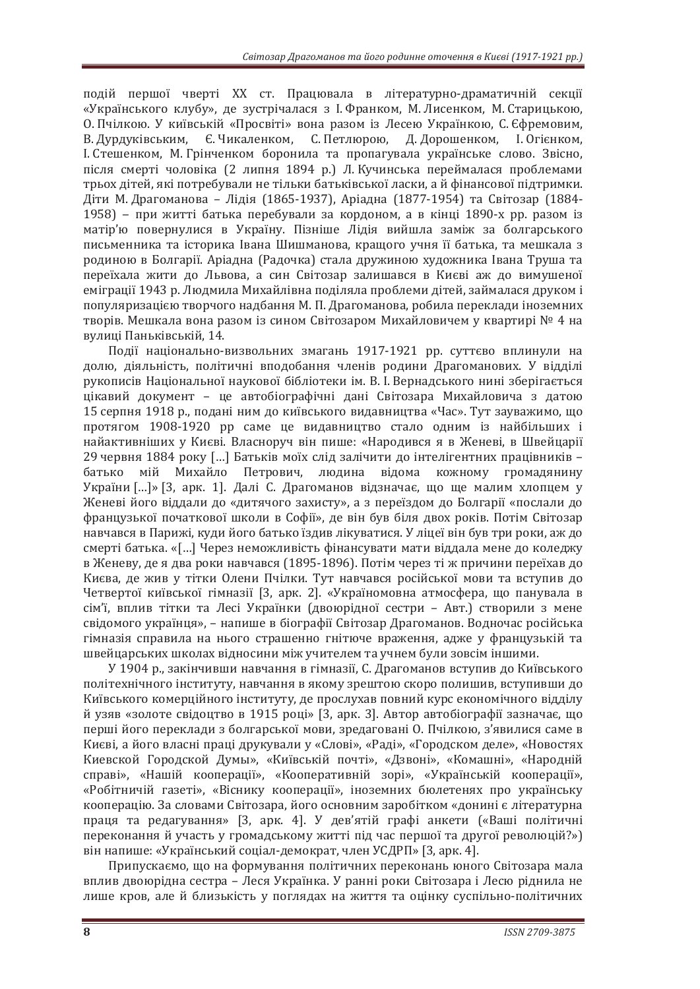подій першої чверті XX ст. Працювала в літературно-драматичній секції «Українського клубу», де зустрічалася з І. Франком, М. Лисенком, М. Старицькою, О. Пчілкою. У київській «Просвіті» вона разом із Лесею Українкою. С. Єфремовим. В. Дурдуківським, Є. Чикаленком, С. Петлюрою, Д. Дорошенком, І. Огієнком, I. Стешенком, М. Грінченком боронила та пропагувала українське слово. Звісно, після смерті чоловіка (2 липня 1894 р.) Л. Кучинська переймалася проблемами трьох дітей, які потребували не тільки батьківської ласки, а й фінансової підтримки. Діти М. Драгоманова – Лідія (1865-1937), Аріадна (1877-1954) та Світозар (1884-1958) – при житті батька перебували за кордоном, а в кінці 1890-х рр. разом із матір'ю повернулися в Україну. Пізніше Лідія вийшла заміж за болгарського письменника та історика Івана Шишманова, кращого учня її батька, та мешкала з родиною в Болгарії. Аріадна (Радочка) стала дружиною художника Івана Труша та переїхала жити до Львова, а син Світозар залишався в Києві аж до вимушеної еміграції 1943 р. Людмила Михайлівна поділяла проблеми дітей, займалася друком і популяризацією творчого надбання М. П. Драгоманова, робила переклади іноземних творів. Мешкала вона разом із сином Світозаром Михайловичем у квартирі № 4 на вулиці Паньківській, 14.

Події національно-визвольних змагань 1917-1921 рр. суттєво вплинули на долю, діяльність, політичні вподобання членів родини Драгоманових. У відділі рукописів Національної наукової бібліотеки ім. В. І. Вернадського нині зберігається цікавий документ - це автобіографічні дані Світозара Михайловича з датою 15 серпня 1918 р., подані ним до київського видавництва «Час». Тут зауважимо, що протягом 1908-1920 рр саме це видавництво стало одним із найбільших і найактивніших у Києві. Власноруч він пише: «Народився я в Женеві, в Швейцарії 29 червня 1884 року [...] Батьків моїх слід залічити до інтелігентних працівників батько мій Михайло Петрович, людина відома кожному громадянину України […]» [3, арк. 1]. Далі С. Драгоманов відзначає, що ще малим хлопцем у Женеві його віддали до «дитячого захисту», а з переїздом до Болгарії «послали до французької початкової школи в Софії», де він був біля двох років. Потім Світозар навчався в Парижі, куди його батько їздив лікуватися. У ліцеї він був три роки, аж до смерті батька. «[...] Через неможливість фінансувати мати віддала мене до коледжу в Женеву, де я два роки навчався (1895-1896). Потім через ті ж причини переїхав до Києва, де жив у тітки Олени Пчілки. Тут навчався російської мови та вступив до Четвертої київської гімназії [3. арк. 2]. «Україномовна атмосфера, що панувала в сім'ї, вплив тітки та Лесі Українки (двоюрідної сестри - Авт.) створили з мене свідомого українця», – напише в біографії Світозар Драгоманов. Водночас російська гімназія справила на нього страшенно гнітюче враження, адже у французькій та швейцарських школах відносини між учителем та учнем були зовсім іншими.

У 1904 р., закінчивши навчання в гімназії, С. Драгоманов вступив до Київського політехнічного інституту, навчання в якому зрештою скоро полишив, вступивши до Київського комерційного інституту, де прослухав повний курс економічного відділу й узяв «золоте свідоцтво в 1915 році» [3, арк. 3]. Автор автобіографії зазначає, що перші його переклади з болгарської мови, зредаговані О. Пчілкою, з'явилися саме в Києві, а його власні праці друкували у «Слові», «Раді», «Городском деле», «Новостях Киевской Городской Думы», «Київській почті», «Дзвоні», «Комашні», «Народній справі», «Нашій кооперації», «Кооперативній зорі», «Українській кооперації», «Робітничій газеті», «Віснику кооперації», іноземних бюлетенях про українську кооперацію. За словами Світозара, його основним заробітком «донині є літературна праця та редагування» [3, арк. 4]. У дев'ятій графі анкети («Ваші політичні переконання й участь у громадському житті під час першої та другої революцій?») він напише: «Український соціал-демократ, член УСДРП» [3, арк. 4].

Припускаємо, що на формування політичних переконань юного Світозара мала вплив двоюрідна сестра - Леся Українка. У ранні роки Світозара і Лесю ріднила не лише кров, але й близькість у поглядах на життя та оцінку суспільно-політичних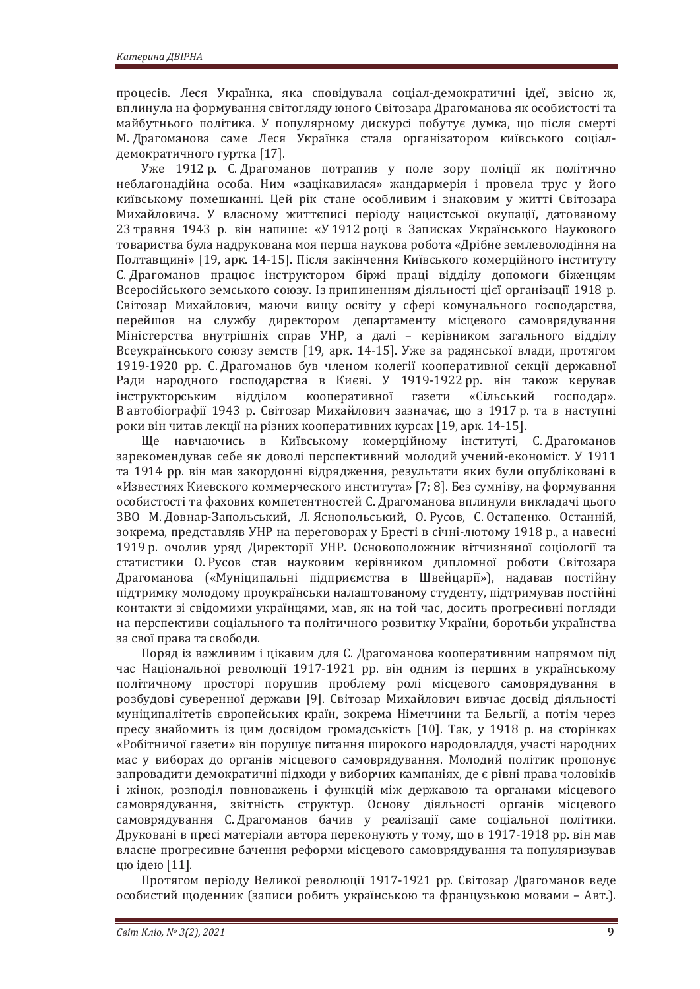процесів. Леся Українка, яка сповідувала соціал-демократичні ідеї, звісно ж, вплинула на формування світогляду юного Світозара Драгоманова як особистості та майбутнього політика. У популярному дискурсі побутує думка, що після смерті М. Драгоманова саме Леся Українка стала організатором київського соціалдемократичного гуртка [17].

Уже 1912 р. С. Драгоманов потрапив у поле зору поліції як політично неблагонадійна особа. Ним «зацікавилася» жандармерія і провела трус у його київському помешканні. Цей рік стане особливим і знаковим у житті Світозара Михайловича. У власному життєписі періоду нацистської окупації, датованому 23 травня 1943 р. він напише: «У 1912 році в Записках Українського Наукового товариства була надрукована моя перша наукова робота «Дрібне землеволодіння на Полтавщині» [19, арк. 14-15]. Після закінчення Київського комерційного інституту С. Драгоманов працює інструктором біржі праці відділу допомоги біженцям Всеросійського земського союзу. Із припиненням діяльності цієї організації 1918 р. Світозар Михайлович, маючи вищу освіту у сфері комунального господарства, перейшов на службу директором департаменту місцевого самоврядування Міністерства внутрішніх справ УНР, а далі - керівником загального відділу Всеукраїнського союзу земств [19, арк. 14-15]. Уже за радянської влади, протягом 1919-1920 рр. С. Драгоманов був членом колегії кооперативної секції державної Ради народного господарства в Києві. У 1919-1922 рр. він також керував інструкторським відділом кооперативної газети «Сільський господар». В автобіографії 1943 р. Світозар Михайлович зазначає, що з 1917 р. та в наступні роки він читав лекції на різних кооперативних курсах [19, арк. 14-15].

Ще навчаючись в Київському комерційному інституті, С. Драгоманов зарекомендував себе як доволі перспективний молодий учений-економіст. У 1911 та 1914 рр. він мав закордонні відрядження, результати яких були опубліковані в «Известиях Киевского коммерческого института» [7; 8]. Без сумніву, на формування особистості та фахових компетентностей С. Драгоманова вплинули викладачі цього ЗВО М. Довнар-Запольський, Л. Яснопольський, О. Русов, С. Остапенко. Останній, зокрема, представляв УНР на переговорах у Бресті в січні-лютому 1918 р., а навесні 1919 р. очолив уряд Директорії УНР. Основоположник вітчизняної соціології та статистики О. Русов став науковим керівником дипломної роботи Світозара Драгоманова («Муніципальні підприємства в Швейцарії»), надавав постійну підтримку молодому проукраїнськи налаштованому студенту, підтримував постійні контакти зі свідомими українцями, мав, як на той час, досить прогресивні погляди на перспективи соціального та політичного розвитку України, боротьби українства за свої права та свободи.

Поряд із важливим і цікавим для С. Драгоманова кооперативним напрямом під час Національної революції 1917-1921 рр. він одним із перших в українському політичному просторі порушив проблему ролі місцевого самоврядування в розбудові суверенної держави [9]. Світозар Михайлович вивчає досвід діяльності муніципалітетів європейських країн, зокрема Німеччини та Бельгії, а потім через пресу знайомить із цим досвідом громадськість [10]. Так, у 1918 р. на сторінках «Робітничої газети» він порушує питання широкого народовладдя, участі народних мас у виборах до органів місцевого самоврядування. Молодий політик пропонує запровадити демократичні підходи у виборчих кампаніях, де є рівні права чоловіків і жінок, розподіл повноважень і функцій між державою та органами місцевого самоврядування, звітність структур. Основу діяльності органів місцевого самоврядування С. Драгоманов бачив у реалізації саме соціальної політики. Друковані в пресі матеріали автора переконують у тому, що в 1917-1918 рр. він мав власне прогресивне бачення реформи місцевого самоврядування та популяризував цю ідею [11].

Протягом періоду Великої революції 1917-1921 рр. Світозар Драгоманов веде особистий щоденник (записи робить українською та французькою мовами - Авт.).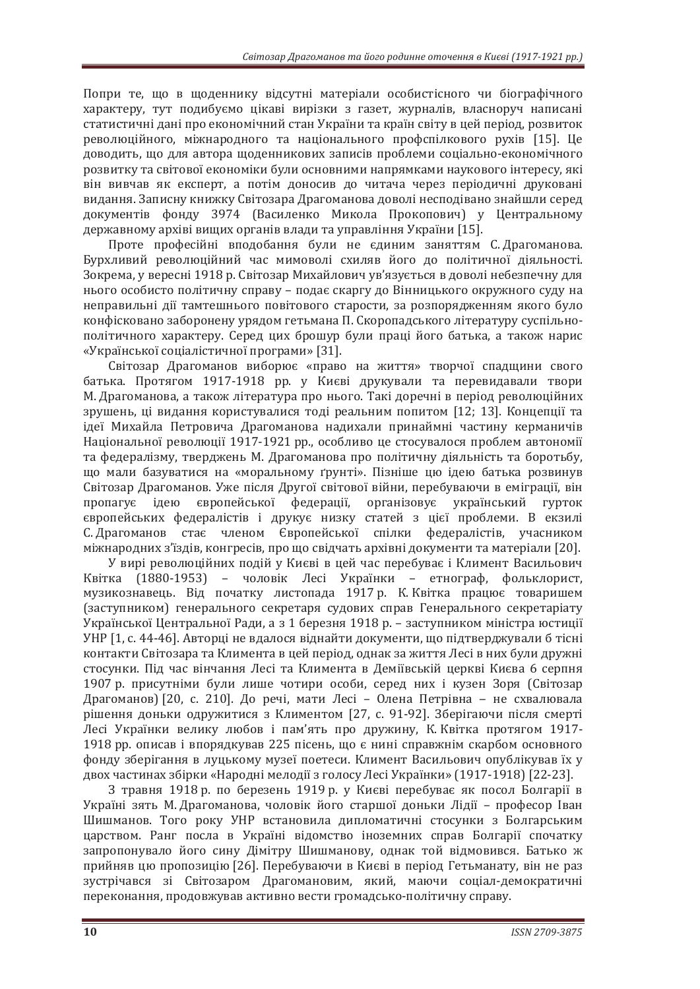Попри те, що в щоденнику відсутні матеріали особистісного чи біографічного характеру, тут подибуємо цікаві вирізки з газет, журналів, власноруч написані статистичні дані про економічний стан України та країн світу в цей період, розвиток революційного, міжнародного та національного профспілкового рухів [15]. Це доводить, що для автора щоденникових записів проблеми соціально-економічного розвитку та світової економіки були основними напрямками наукового інтересу, які він вивчав як експерт, а потім доносив до читача через періодичні друковані видання. Записну книжку Світозара Драгоманова доволі несподівано знайшли серед документів фонду 3974 (Василенко Микола Прокопович) у Центральному державному архіві вищих органів влади та управління України [15].

Проте професійні вподобання були не єдиним заняттям С. Драгоманова. Бурхливий революційний час мимоволі схиляв його до політичної діяльності. Зокрема, у вересні 1918 р. Світозар Михайлович ув'язується в доволі небезпечну для нього особисто політичну справу - подає скаргу до Вінницького окружного суду на неправильні дії тамтешнього повітового старости, за розпорядженням якого було конфісковано заборонену урядом гетьмана П. Скоропадського літературу суспільнополітичного характеру. Серед цих брошур були праці його батька, а також нарис «Української соціалістичної програми» [31].

Світозар Драгоманов виборює «право на життя» творчої спадщини свого батька. Протягом 1917-1918 рр. у Києві друкували та перевидавали твори М. Драгоманова, а також література про нього. Такі доречні в період революційних зрушень, ці видання користувалися тоді реальним попитом [12; 13]. Концепції та ідеї Михайла Петровича Драгоманова надихали принаймні частину керманичів Національної революції 1917-1921 рр., особливо це стосувалося проблем автономії та федералізму, тверджень М. Драгоманова про політичну діяльність та боротьбу, що мали базуватися на «моральному ґрунті». Пізніше цю ідею батька розвинув Світозар Драгоманов. Уже після Другої світової війни, перебуваючи в еміграції, він пропагує ідею європейської федерації, організовує український гурток європейських федералістів і друкує низку статей з цієї проблеми. В екзилі С. Драгоманов стає членом Європейської спілки федералістів, учасником міжнародних з'їздів, конгресів, про що свідчать архівні документи та матеріали [20].

У вирі революційних подій у Києві в цей час перебуває і Климент Васильович Квітка (1880-1953) – чоловік Лесі Українки – етнограф, фольклорист, музикознавець. Від початку листопада 1917 р. К. Квітка працює товаришем (заступником) генерального секретаря судових справ Генерального секретаріату Української Центральної Ради, а з 1 березня 1918 р. – заступником міністра юстиції УНР [1, с. 44-46]. Авторці не вдалося віднайти документи, що підтверджували б тісні контакти Світозара та Климента в цей період, однак за життя Лесі в них були дружні стосунки. Під час вінчання Лесі та Климента в Деміївській церкві Києва 6 серпня 1907 р. присутніми були лише чотири особи, серед них і кузен Зоря (Світозар Драгоманов) [20, с. 210]. До речі, мати Лесі - Олена Петрівна - не схвалювала рішення доньки одружитися з Климентом [27, с. 91-92]. Зберігаючи після смерті Лесі Українки велику любов і пам'ять про дружину, К. Квітка протягом 1917-1918 рр. описав і впорядкував 225 пісень, що є нині справжнім скарбом основного фонду зберігання в луцькому музеї поетеси. Климент Васильович опублікував їх у двох частинах збірки «Народні мелодії з голосу Лесі Українки» (1917-1918) [22-23].

З травня 1918 р. по березень 1919 р. у Києві перебуває як посол Болгарії в Україні зять М. Драгоманова, чоловік його старшої доньки Лідії - професор Іван Шишманов. Того року УНР встановила дипломатичні стосунки з Болгарським царством. Ранг посла в Україні відомство іноземних справ Болгарії спочатку запропонувало його сину Дімітру Шишманову, однак той відмовився. Батько ж прийняв цю пропозицію [26]. Перебуваючи в Києві в період Гетьманату, він не раз зустрічався зі Світозаром Драгомановим, який, маючи соціал-демократичні переконання, продовжував активно вести громадсько-політичну справу.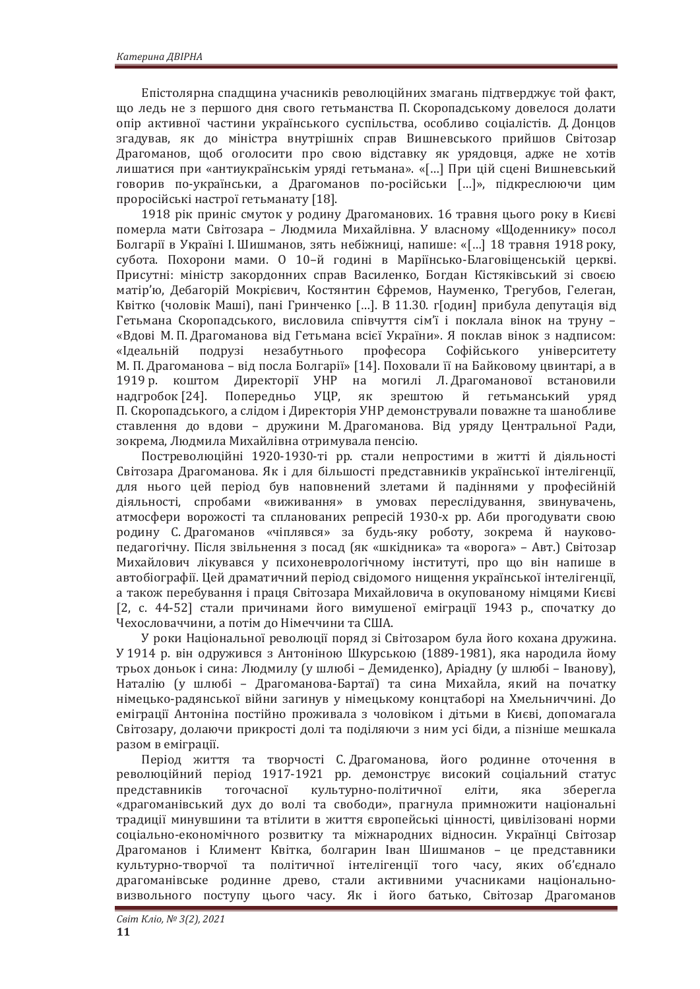Епістолярна спадщина учасників революційних змагань підтверджує той факт, що ледь не з першого дня свого гетьманства П. Скоропадському довелося долати опір активної частини українського суспільства, особливо соціалістів. Д. Донцов згадував, як до міністра внутрішніх справ Вишневського прийшов Світозар Драгоманов, щоб оголосити про свою відставку як урядовця, адже не хотів лишатися при «антиукраїнськім уряді гетьмана». «[...] При цій сцені Вишневський говорив по-українськи, а Драгоманов по-російськи […]», підкреслюючи цим проросійські настрої гетьманату [18].

1918 рік приніс смуток у родину Драгоманових. 16 травня цього року в Києві померла мати Світозара - Людмила Михайлівна. У власному «Щоденнику» посол Болгарії в Україні І. Шишманов, зять небіжниці, напише: «[...] 18 травня 1918 року, субота. Похорони мами. О 10-й годині в Маріїнсько-Благовіщенській церкві. Присутні: міністр закордонних справ Василенко, Богдан Кістяківський зі своєю матір'ю, Дебагорій Мокрієвич, Костянтин Єфремов, Науменко, Трегубов, Гелеган, Квітко (чоловік Маші), пані Гринченко [...]. В 11.30. г[один] прибула депутація від Гетьмана Скоропадського, висловила співчуття сім'ї і поклала вінок на труну -«Вдові М. П. Драгоманова від Гетьмана всієї України». Я поклав вінок з надписом: «Ідеальній подрузі незабутнього професора Софійського університету М. П. Драгоманова – від посла Болгарії» [14]. Поховали її на Байковому цвинтарі, а в 1919 р. коштом Директорії УНР на могилі Л. Драгоманової встановили надгробок [24]. Попередньо УЦР, як зрештою й гетьманський уряд П. Скоропадського, а слідом і Директорія УНР демонстрували поважне та шанобливе ставлення до вдови – дружини М. Драгоманова. Від уряду Центральної Ради, зокрема, Людмила Михайлівна отримувала пенсію.

Постреволюційні 1920-1930-ті рр. стали непростими в житті й діяльності Світозара Драгоманова. Як і для більшості представників української інтелігенції. для нього цей період був наповнений злетами й падіннями у професійній діяльності, спробами «виживання» в умовах переслідування, звинувачень, атмосфери ворожості та спланованих репресій 1930-х рр. Аби прогодувати свою родину С. Драгоманов «чіплявся» за будь-яку роботу, зокрема й науковопедагогічну. Після звільнення з посад (як «шкілника» та «ворога» – Авт.) Світозар Михайлович лікувався у психоневрологічному інституті, про що він напише в автобіографії. Цей драматичний період свідомого нищення української інтелігенції, а також перебування і праця Світозара Михайловича в окупованому німцями Києві [2, с. 44-52] стали причинами його вимушеної еміграції 1943 р., спочатку до Чехословаччини, а потім до Німеччини та США.

У роки Національної революції поряд зі Світозаром була його кохана дружина. У 1914 р. він одружився з Антоніною Шкурською (1889-1981), яка народила йому трьох доньок і сина: Людмилу (у шлюбі – Демиденко), Аріадну (у шлюбі – Іванову), Наталію (у шлюбі – Драгоманова-Бартаї) та сина Михайла, який на початку німецько-радянської війни загинув у німецькому концтаборі на Хмельниччині. До еміграції Антоніна постійно проживала з чоловіком і дітьми в Києві, допомагала Світозару, долаючи прикрості долі та поділяючи з ним усі біди, а пізніше мешкала разом в еміграції.

Період життя та творчості С. Драгоманова, його родинне оточення в революційний період 1917-1921 рр. демонструє високий соціальний статус представників тогочасної культурно-політичної еліти, яка зберегла «драгоманівський дух до волі та свободи», прагнула примножити національні традиції минувшини та втілити в життя європейські цінності, цивілізовані норми соціально-економічного розвитку та міжнародних відносин. Українці Світозар Драгоманов і Климент Квітка, болгарин Іван Шишманов – це представники культурно-творчої та політичної інтелігенції того часу, яких об'єднало драгоманівське родинне древо, стали активними учасниками національновизвольного поступу цього часу. Як і його батько, Світозар Драгоманов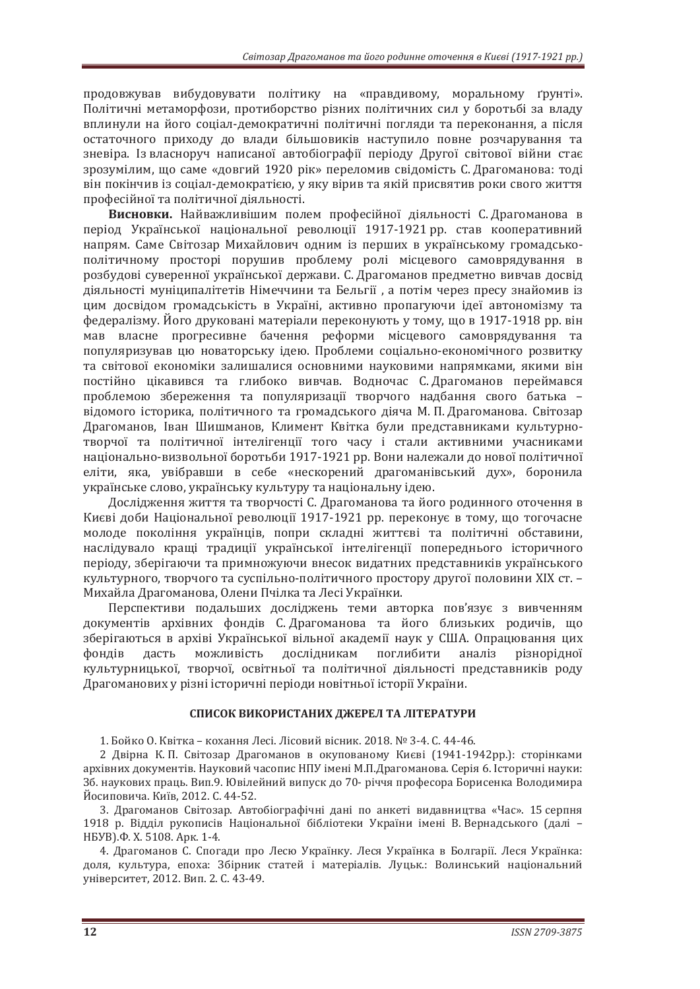продовжував вибудовувати політику на «правдивому, моральному ґрунті». Політичні метаморфози, протиборство різних політичних сил у боротьбі за владу вплинули на його сошал-лемократичні політичні погляли та переконання, а після остаточного приходу до влади більшовиків наступило повне розчарування та зневіра. Із власноруч написаної автобіографії періоду Другої світової війни стає зрозумілим, що саме «довгий 1920 рік» переломив свідомість С. Драгоманова: тоді він покінчив із соціал-демократією, у яку вірив та якій присвятив роки свого життя професійної та політичної діяльності.

**Висновки.** Найважливішим полем професійної діяльності С. Драгоманова в період Української національної революції 1917-1921 рр. став кооперативний напрям. Саме Світозар Михайлович одним із перших в українському громадськополітичному просторі порушив проблему ролі місцевого самоврядування в розбудові суверенної української держави. С. Драгоманов предметно вивчав досвід діяльності муніципалітетів Німеччини та Бельгії, а потім через пресу знайомив із цим досвідом громадськість в Україні, активно пропагуючи ідеї автономізму та федералізму. Його друковані матеріали переконують у тому, що в 1917-1918 рр. він мав власне прогресивне бачення реформи місцевого самоврядування та популяризував цю новаторську ідею. Проблеми соціально-економічного розвитку та світової економіки залишалися основними науковими напрямками, якими він постійно цікавився та глибоко вивчав. Водночас С. Драгоманов переймався проблемою збереження та популяризації творчого надбання свого батька відомого історика, політичного та громадського діяча М. П. Драгоманова. Світозар Драгоманов, Іван Шишманов, Климент Квітка були представниками культурнотворчої та політичної інтелігенції того часу і стали активними учасниками національно-визвольної боротьби 1917-1921 рр. Вони належали до нової політичної еліти, яка, увібравши в себе «нескорений драгоманівський дух», боронила українське слово, українську культуру та національну ідею.

Дослідження життя та творчості С. Драгоманова та його родинного оточення в Києві доби Національної революції 1917-1921 рр. переконує в тому, що тогочасне молоде покоління українців, попри складні життєві та політичні обставини, наслідувало кращі традиції української інтелігенції попереднього історичного періоду, зберігаючи та примножуючи внесок видатних представників українського культурного, творчого та суспільно-політичного простору другої половини XIX ст. -Михайла Драгоманова, Олени Пчілка та Лесі Українки.

Перспективи подальших досліджень теми авторка пов'язує з вивченням документів архівних фондів С. Драгоманова та його близьких родичів, що зберігаються в архіві Української вільної академії наук у США. Опрацювання цих фондів дасть можливість дослідникам поглибити аналіз різнорідної культурницької, творчої, освітньої та політичної діяльності представників роду Драгоманових у різні історичні періоди новітньої історії України.

#### СПИСОК ВИКОРИСТАНИХ ДЖЕРЕЛ ТА ЛІТЕРАТУРИ

1. Бойко О. Квітка – кохання Лесі. Лісовий вісник. 2018. № 3-4. С. 44-46.

2 Лвірна К. П. Світозар Лрагоманов в окупованому Києві (1941-1942рр.): сторінками архівних документів. Науковий часопис НПУ імені М.П.Драгоманова. Серія 6. Історичні науки: Зб. наукових праць. Вип.9. Ювілейний випуск до 70- річчя професора Борисенка Володимира Йосиповича. Київ, 2012. С. 44-52.

3. Драгоманов Світозар. Автобіографічні дані по анкеті видавництва «Час». 15 серпня 1918 р. Відділ рукописів Національної бібліотеки України імені В. Вернадського (далі – HEYB). Φ. X. 5108. Apk. 1-4.

4. Драгоманов С. Спогади про Лесю Українку. Леся Українка в Болгарії. Леся Українка: доля, культура, епоха: Збірник статей і матеріалів. Луцьк.: Волинський національний університет, 2012. Вип. 2. С. 43-49.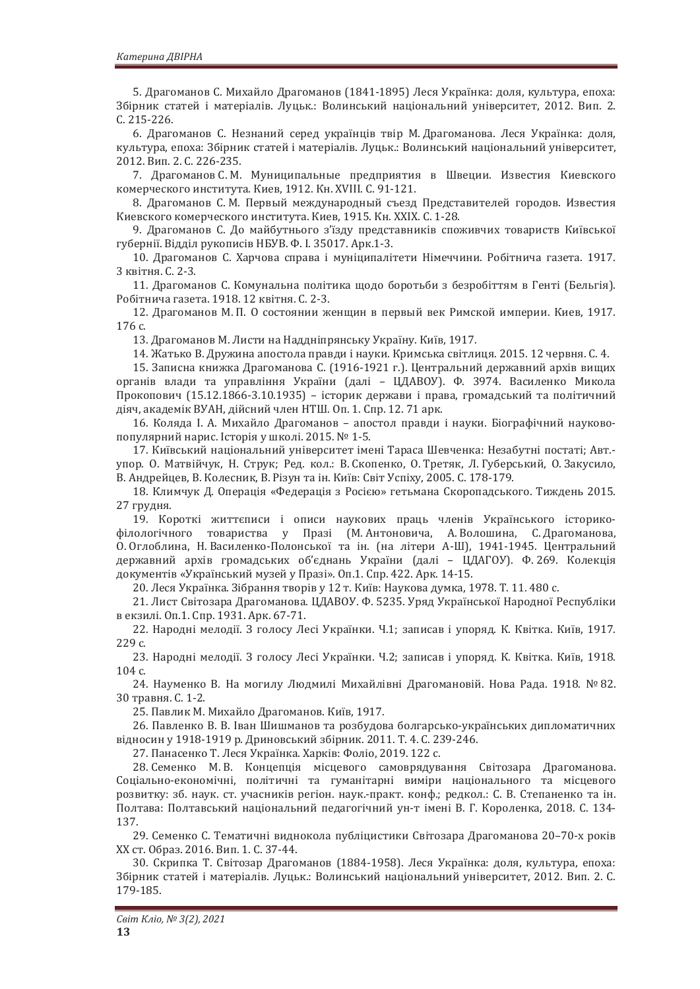5. Драгоманов С. Михайло Драгоманов (1841-1895) Леся Українка: доля, культура, епоха: Збірник статей і матеріалів. Луцьк.: Волинський національний університет, 2012. Вип. 2. C. 215-226.

6. Драгоманов С. Незнаний серед українців твір М. Драгоманова. Леся Українка: доля, культура, епоха: Збірник статей і матеріалів. Луцьк.: Волинський національний університет, 2012. Вип. 2. С. 226-235.

7. Драгоманов С.М. Муниципальные предприятия в Швеции. Известия Киевского комерческого института. Киев, 1912. Кн. XVIII. С. 91-121.

8. Драгоманов С.М. Первый международный съезд Представителей городов. Известия Киевского комерческого института. Киев, 1915. Кн. XXIX. С. 1-28.

9. Драгоманов С. До майбутнього з'їзду представників споживчих товариств Київської губернії. Відділ рукописів НБУВ. Ф. І. 35017. Арк.1-3.

10. Драгоманов С. Харчова справа і муніципалітети Німеччини. Робітнича газета. 1917. 3 квітня. С. 2-3.

11. Драгоманов С. Комунальна політика щодо боротьби з безробіттям в Генті (Бельгія). Робітнича газета. 1918. 12 квітня. С. 2-3.

12. Драгоманов М. П. О состоянии женщин в первый век Римской империи. Киев, 1917. 176 с.

13. Драгоманов М. Листи на Наддніпрянську Україну. Київ, 1917.

14. Жатько В. Дружина апостола правди і науки. Кримська світлиця. 2015. 12 червня. С. 4.

15. Записна книжка Драгоманова С. (1916-1921 г.). Центральний державний архів вищих органів влади та управління України (далі - ЦДАВОУ). Ф. 3974. Василенко Микола Прокопович (15.12.1866-3.10.1935) – історик держави і права, громадський та політичний діяч, академік ВУАН, дійсний член НТШ. Оп. 1. Спр. 12. 71 арк.

16. Коляда І. А. Михайло Драгоманов - апостол правди і науки. Біографічний науковопопулярний нарис. Історія у школі. 2015. № 1-5.

17. Київський національний університет імені Тараса Шевченка: Незабутні постаті; Авт.упор. О. Матвійчук, Н. Струк; Ред. кол.: В. Скопенко, О. Третяк, Л. Губерський, О. Закусило, В. Андрейцев, В. Колесник, В. Різун та ін. Київ: Світ Успіху, 2005. С. 178-179.

18. Климчук Д. Операція «Федерація з Росією» гетьмана Скоропадського. Тиждень 2015. 27 грудня.

19. Короткі життєписи і описи наукових праць членів Українського історикофілологічного товариства у Празі (М. Антоновича, А. Волошина, С. Драгоманова, О. Оглоблина, Н. Василенко-Полонської та ін. (на літери А-Ш), 1941-1945. Центральний державний архів громадських об'єднань України (далі - ЦДАГОУ). Ф.269. Колекція документів «Український музей у Празі». Оп.1. Спр. 422. Арк. 14-15.

20. Леся Українка. Зібрання творів у 12 т. Київ: Наукова думка, 1978. Т. 11. 480 с.

21. Лист Світозара Драгоманова. ЦДАВОУ. Ф. 5235. Уряд Української Народної Республіки в екзилі. Оп.1. Спр. 1931. Арк. 67-71.

22. Народні мелодії. З голосу Лесі Українки. Ч.1; записав і упоряд. К. Квітка. Київ, 1917. 229 с.

23. Народні мелодії. З голосу Лесі Українки. Ч.2; записав і упоряд. К. Квітка. Київ, 1918. 104 с.

24 Науменко В. На могилу Людмилі Михайлівні Драгомановій. Нова Рада. 1918. № 82. 30 травня. С. 1-2.

25. Павлик М. Михайло Драгоманов. Київ, 1917.

26. Павленко В. В. Іван Шишманов та розбудова болгарсько-українських дипломатичних відносин у 1918-1919 р. Дриновський збірник. 2011. Т. 4. С. 239-246.

27. Панасенко Т. Леся Українка. Харків: Фоліо, 2019. 122 с.

28. Семенко М. В. Концепція місцевого самоврядування Світозара Драгоманова. Соціально-економічні, політичні та гуманітарні виміри національного та місцевого розвитку: зб. наук. ст. учасників регіон. наук.-практ. конф.; редкол.: С. В. Степаненко та ін. Полтава: Полтавський національний педагогічний ун-т імені В. Г. Короленка, 2018. С. 134-137.

29. Семенко С. Тематичні виднокола публіцистики Світозара Драгоманова 20-70-х років XX ст. Образ. 2016. Вип. 1. С. 37-44.

30. Скрипка Т. Світозар Драгоманов (1884-1958). Леся Українка: доля, культура, епоха: Збірник статей і матеріалів. Луцьк.: Волинський національний університет, 2012. Вип. 2. С. 179-185.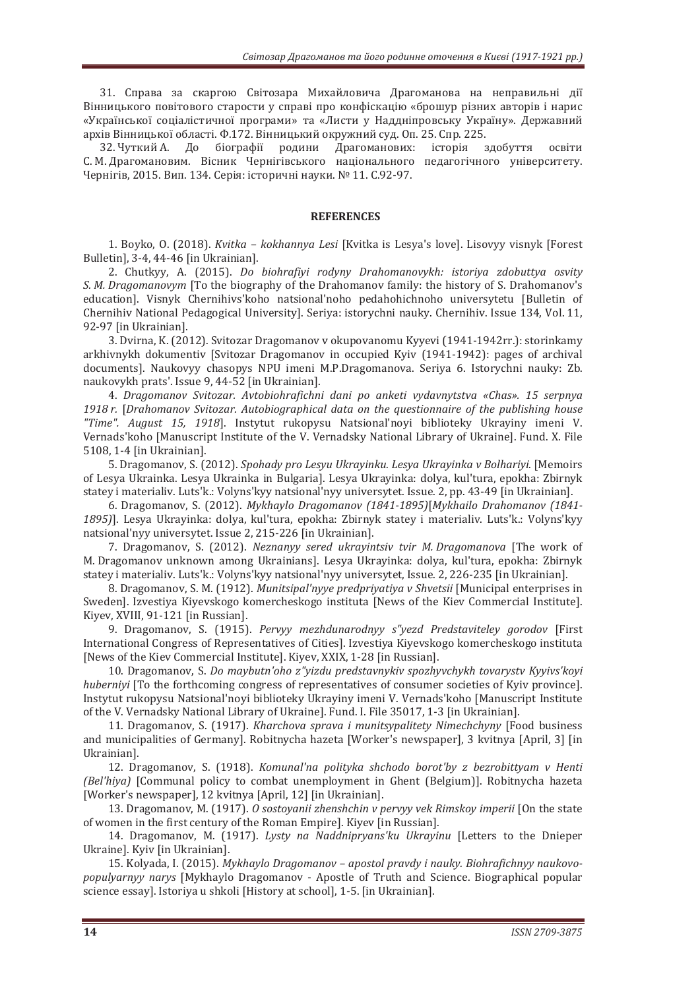31. Справа за скаргою Світозара Михайловича Драгоманова на неправильні дії Вінницького повітового старости у справі про конфіскацію «брошур різних авторів і нарис «Української соціалістичної програми» та «Листи у Наддніпровську Україну». Державний архів Вінницької області. Ф.172. Вінницький окружний суд. Оп. 25. Спр. 225.

32. Чуткий А. До біографії родини Драгоманових: історія здобуття освіти С. М. Драгомановим. Вісник Чернігівського національного педагогічного університету. Чернігів, 2015, Вип. 134, Серія: історичні науки. № 11, С.92-97.

#### **REFERENCES**

1. Boyko, O. (2018). *Kvitka - kokhannya Lesi* [Kvitka is Lesya's love]. Lisovyy visnyk [Forest Bulletin], 3-4, 44-46 [in Ukrainian].

2. Chutkyy, A. (2015). *Do biohrafiyi rodyny Drahomanovykh: istoriya zdobuttya osvity S. M. Dragomanovym* [To the biography of the Drahomanov family: the history of S. Drahomanov's education]. Visnyk Chernihivs'koho natsional'noho pedahohichnoho universytetu [Bulletin of Chernihiv National Pedagogical University]. Seriya: istorychni nauky. Chernihiv. Issue 134, Vol. 11, 92-97 [in Ukrainian].

3. Dvirna, K. (2012). Svitozar Dragomanov v okupovanomu Kyyevi (1941-1942rr.): storinkamy arkhivnykh dokumentiv [Svitozar Dragomanov in occupied Kyiv (1941-1942): pages of archival documents]. Naukovyy chasopys NPU imeni M.P.Dragomanova. Seriya 6. Istorychni nauky: Zb. naukovykh prats'. Issue 9, 44-52 [in Ukrainian].

4. *Dragomanov Svitozar, Avtobiohrafichni dani po anketi vydavnytstya «Chas»*, 15 serpnya 1918 r. [Drahomanov Svitozar. Autobiographical data on the questionnaire of the publishing house *"Time". August 15, 1918*]. Instytut rukopysu Natsional'noyi biblioteky Ukrayiny imeni V. Vernads'koho [Manuscript Institute of the V. Vernadsky National Library of Ukraine]. Fund. X. File 5108, 1-4 [in Ukrainian].

5. Dragomanov, S. (2012). *Spohady pro Lesyu Ukrayinku. Lesya Ukrayinka v Bolhariyi.* [Memoirs of Lesva Ukrainka, Lesva Ukrainka in Bulgarial, Lesva Ukravinka; dolva, kul'tura, epokha; Zbirnyk statey i materialiy. Luts'k: Volyns'kyy natsional'nyy universytet. Issue. 2, pp. 43-49 [in Ukrainian].

6. Dragomanov, S. (2012). *Mykhaylo Dragomanov (1841-1895)*[Mykhailo Drahomanov (1841-1895)]. Lesya Ukrayinka: dolya, kul'tura, epokha: Zbirnyk statey i materialiv. Luts'k.: Volyns'kyy natsional'nyy universytet. Issue 2, 215-226 [in Ukrainian].

7. Dragomanov, S. (2012). *Neznanyy sered ukrayintsiv tvir M. Dragomanova* [The work of M. Dragomanov unknown among Ukrainians]. Lesva Ukravinka: dolva, kul'tura, epokha: Zbirnyk statev i materialiv. Luts'k.: Volyns'kyy natsional'nyy universytet, Issue. 2, 226-235 [in Ukrainian].

8. Dragomanov, S. M. (1912). *Munitsipal'nyye predpriyatiya v Shvetsii* [Municipal enterprises in Sweden]. Izvestiya Kiyevskogo komercheskogo instituta [News of the Kiev Commercial Institute]. Kiyev, XVIII, 91-121 [in Russian].

9. Dragomanov, S. (1915). *Pervyv mezhdunarodnyy s''vezd Predstavitelev gorodov* [First] International Congress of Representatives of Cities]. Izvestiya Kiyevskogo komercheskogo instituta [News of the Kiev Commercial Institute]. Kiyev, XXIX, 1-28 [in Russian].

10. Dragomanov, S. *Do maybutn'oho z"yizdu predstavnykiv spozhyvchykh tovarystv Kyyivs'koyi* hubernivi [To the forthcoming congress of representatives of consumer societies of Kyiv province]. Instytut rukopysu Natsional'noyi biblioteky Ukrayiny imeni V. Vernads'koho [Manuscript Institute of the V. Vernadsky National Library of Ukraine]. Fund. I. File 35017, 1-3 [in Ukrainian].

11. Dragomanov, S. (1917). *Kharchova sprava i munitsypalitety Nimechchyny* [Food business and municipalities of Germany]. Robitnycha hazeta [Worker's newspaper], 3 kvitnya [April, 3] [in Ukrainian].

12. Dragomanov, S. (1918). *Komunal'na polityka shchodo borot'by z bezrobittyam v Henti ȋȌ* [Communal policy to combat unemployment in Ghent (Belgium)]. Robitnycha hazeta [Worker's newspaper], 12 kvitnya [April, 12] [in Ukrainian].

13. Dragomanov, M. (1917). O sostoyanii zhenshchin v pervyy vek Rimskoy imperii [On the state of women in the first century of the Roman Empire]. Kiyev [in Russian].

14. Dragomanov, M. (1917). *Lysty na Naddnipryans'ku Ukrayinu* [Letters to the Dnieper Ukraine]. Kyiv [in Ukrainian].

15. Kolyada, I. (2015). *Mykhaylo Dragomanov – apostol pravdy i nauky. Biohrafichnyy naukovopopulyarnyy narys* [Mykhaylo Dragomanov - Apostle of Truth and Science. Biographical popular science essay]. Istoriya u shkoli [History at school], 1-5. [in Ukrainian].